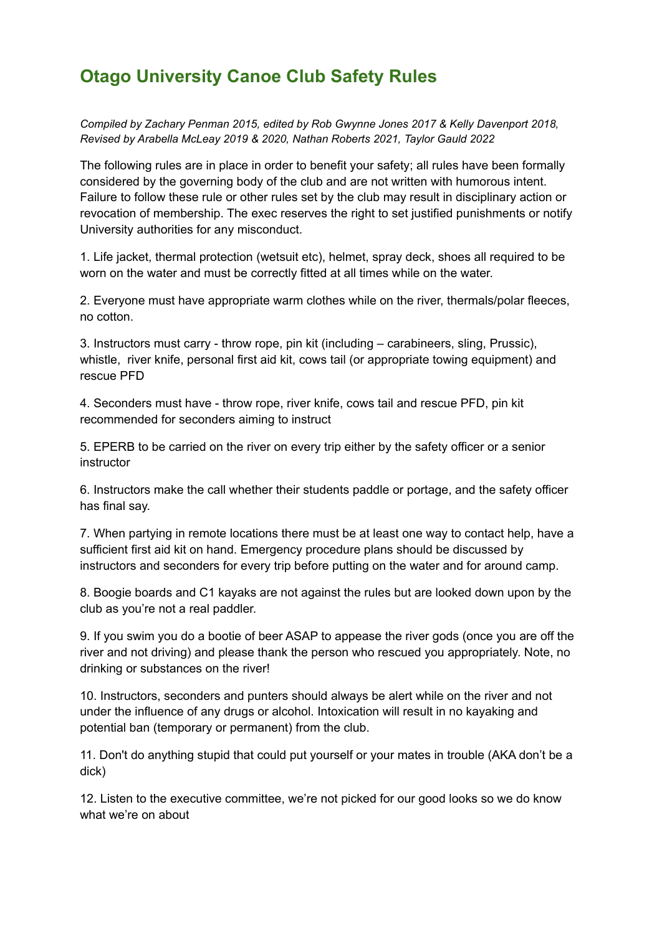## **Otago University Canoe Club Safety Rules**

*Compiled by Zachary Penman 2015, edited by Rob Gwynne Jones 2017 & Kelly Davenport 2018, Revised by Arabella McLeay 2019 & 2020, Nathan Roberts 2021, Taylor Gauld 2022*

The following rules are in place in order to benefit your safety; all rules have been formally considered by the governing body of the club and are not written with humorous intent. Failure to follow these rule or other rules set by the club may result in disciplinary action or revocation of membership. The exec reserves the right to set justified punishments or notify University authorities for any misconduct.

1. Life jacket, thermal protection (wetsuit etc), helmet, spray deck, shoes all required to be worn on the water and must be correctly fitted at all times while on the water.

2. Everyone must have appropriate warm clothes while on the river, thermals/polar fleeces, no cotton.

3. Instructors must carry - throw rope, pin kit (including – carabineers, sling, Prussic), whistle, river knife, personal first aid kit, cows tail (or appropriate towing equipment) and rescue PFD

4. Seconders must have - throw rope, river knife, cows tail and rescue PFD, pin kit recommended for seconders aiming to instruct

5. EPERB to be carried on the river on every trip either by the safety officer or a senior instructor

6. Instructors make the call whether their students paddle or portage, and the safety officer has final say.

7. When partying in remote locations there must be at least one way to contact help, have a sufficient first aid kit on hand. Emergency procedure plans should be discussed by instructors and seconders for every trip before putting on the water and for around camp.

8. Boogie boards and C1 kayaks are not against the rules but are looked down upon by the club as you're not a real paddler.

9. If you swim you do a bootie of beer ASAP to appease the river gods (once you are off the river and not driving) and please thank the person who rescued you appropriately. Note, no drinking or substances on the river!

10. Instructors, seconders and punters should always be alert while on the river and not under the influence of any drugs or alcohol. Intoxication will result in no kayaking and potential ban (temporary or permanent) from the club.

11. Don't do anything stupid that could put yourself or your mates in trouble (AKA don't be a dick)

12. Listen to the executive committee, we're not picked for our good looks so we do know what we're on about